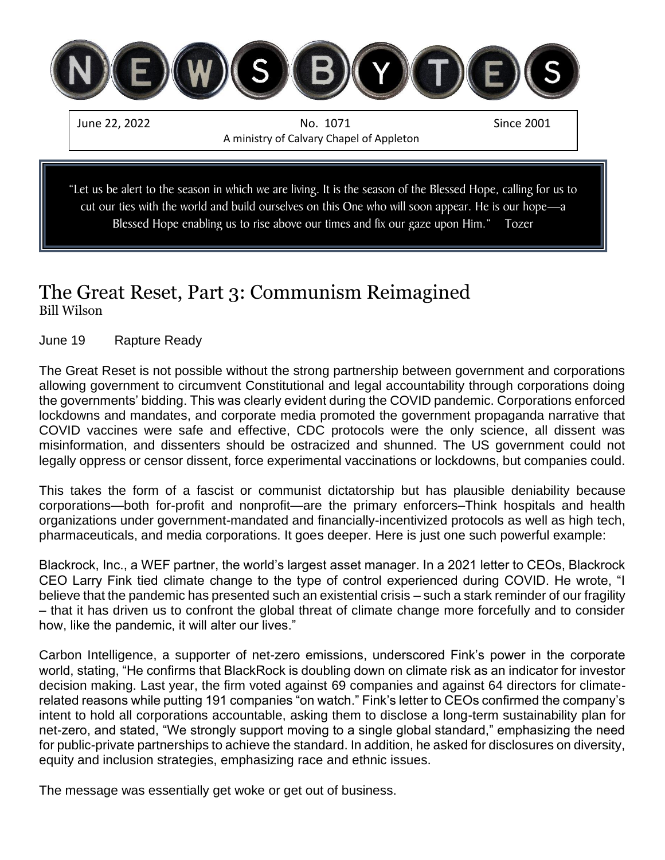

# The Great Reset, Part 3: Communism Reimagined

Bill Wilson

#### June 19 Rapture Ready

The Great Reset is not possible without the strong partnership between government and corporations allowing government to circumvent Constitutional and legal accountability through corporations doing the governments' bidding. This was clearly evident during the COVID pandemic. Corporations enforced lockdowns and mandates, and corporate media promoted the government propaganda narrative that COVID vaccines were safe and effective, CDC protocols were the only science, all dissent was misinformation, and dissenters should be ostracized and shunned. The US government could not legally oppress or censor dissent, force experimental vaccinations or lockdowns, but companies could.

This takes the form of a fascist or communist dictatorship but has plausible deniability because corporations—both for-profit and nonprofit—are the primary enforcers–Think hospitals and health organizations under government-mandated and financially-incentivized protocols as well as high tech, pharmaceuticals, and media corporations. It goes deeper. Here is just one such powerful example:

Blackrock, Inc., a WEF partner, the world's largest asset manager. In a 2021 letter to CEOs, Blackrock CEO Larry Fink tied climate change to the type of control experienced during COVID. He wrote, "I believe that the pandemic has presented such an existential crisis – such a stark reminder of our fragility – that it has driven us to confront the global threat of climate change more forcefully and to consider how, like the pandemic, it will alter our lives."

Carbon Intelligence, a supporter of net-zero emissions, underscored Fink's power in the corporate world, stating, "He confirms that BlackRock is doubling down on climate risk as an indicator for investor decision making. Last year, the firm voted against 69 companies and against 64 directors for climaterelated reasons while putting 191 companies "on watch." Fink's letter to CEOs confirmed the company's intent to hold all corporations accountable, asking them to disclose a long-term sustainability plan for net-zero, and stated, "We strongly support moving to a single global standard," emphasizing the need for public-private partnerships to achieve the standard. In addition, he asked for disclosures on diversity, equity and inclusion strategies, emphasizing race and ethnic issues.

The message was essentially get woke or get out of business.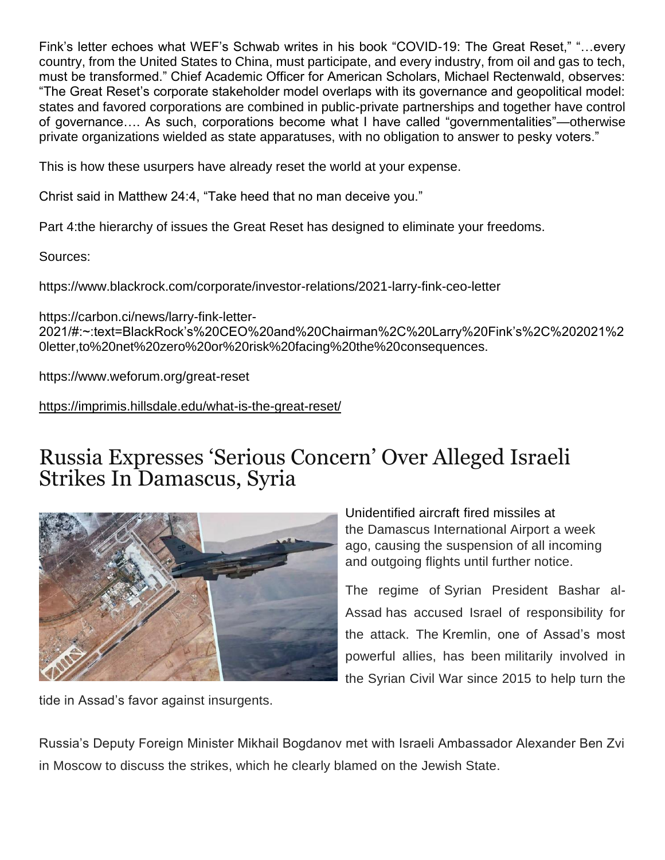Fink's letter echoes what WEF's Schwab writes in his book "COVID-19: The Great Reset," "…every country, from the United States to China, must participate, and every industry, from oil and gas to tech, must be transformed." Chief Academic Officer for American Scholars, Michael Rectenwald, observes: "The Great Reset's corporate stakeholder model overlaps with its governance and geopolitical model: states and favored corporations are combined in public-private partnerships and together have control of governance…. As such, corporations become what I have called "governmentalities"—otherwise private organizations wielded as state apparatuses, with no obligation to answer to pesky voters."

This is how these usurpers have already reset the world at your expense.

Christ said in Matthew 24:4, "Take heed that no man deceive you."

Part 4:the hierarchy of issues the Great Reset has designed to eliminate your freedoms.

Sources:

https://www.blackrock.com/corporate/investor-relations/2021-larry-fink-ceo-letter

https://carbon.ci/news/larry-fink-letter-2021/#:~:text=BlackRock's%20CEO%20and%20Chairman%2C%20Larry%20Fink's%2C%202021%2 0letter,to%20net%20zero%20or%20risk%20facing%20the%20consequences.

https://www.weforum.org/great-reset

<https://imprimis.hillsdale.edu/what-is-the-great-reset/>

### Russia Expresses 'Serious Concern' Over Alleged Israeli [S](https://www.facebook.com/sharer.php?u=https%3A%2F%2Fharbingersdaily.com%2Frussia-expresses-serious-concern-over-alleged-israeli-strikes-in-damascus-syria%2F)trikes In Damascus, Syria



tide in Assad's favor against insurgents.

Unidentified aircraft [fired missiles](https://harbingersdaily.com/israel-reportedly-fires-missiles-from-the-golan-striking-hezbollah-iranian-targets-near-damascus/) at the Damascus International Airport a week ago, causing the suspension of all incoming and outgoing flights until further notice.

The regime of Syrian President Bashar al-Assad has accused Israel of responsibility for the attack. The Kremlin, one of Assad's most powerful allies, has been militarily involved in the Syrian Civil War since 2015 to help turn the

Russia's Deputy Foreign Minister Mikhail Bogdanov met with Israeli Ambassador Alexander Ben Zvi in Moscow to discuss the strikes, which he clearly blamed on the Jewish State.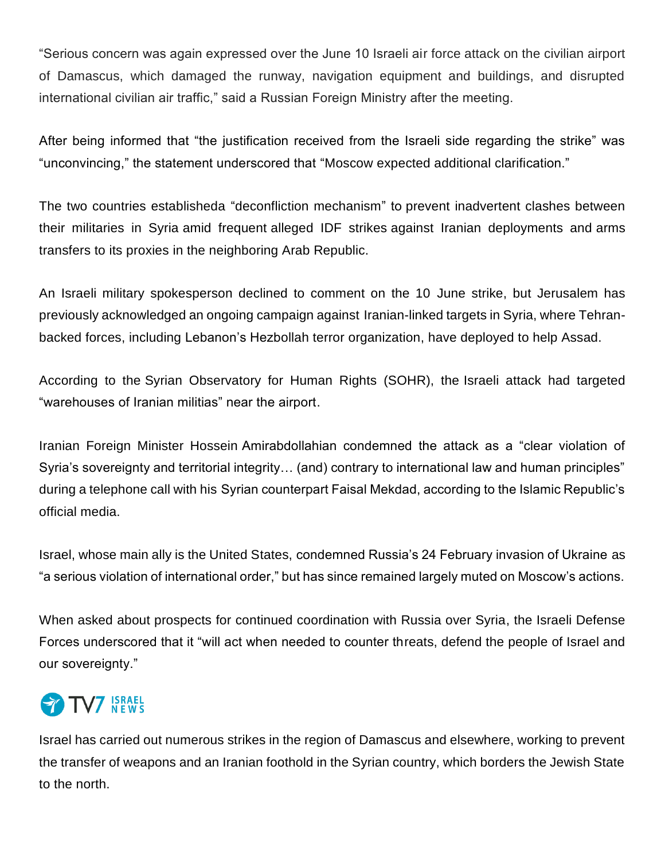"Serious concern was again expressed over the June 10 Israeli air force attack on the civilian airport of Damascus, which damaged the runway, navigation equipment and buildings, and disrupted international civilian air traffic," said a Russian Foreign Ministry after the meeting.

After being informed that "the justification received from the Israeli side regarding the strike" was "unconvincing," the statement underscored that ["Moscow](https://www.tv7israelnews.com/russia-reportedly-helping-iran-avoid-israeli-airstrikes-in-syria/) expected additional clarification."

The two countries establisheda ["deconfliction mechanism"](https://www.tv7israelnews.com/israel-russia-to-upgrade-security-coordination/) to prevent inadvertent clashes between their militaries in Syria amid frequent alleged IDF strikes against Iranian deployments and [arms](https://www.tv7israelnews.com/idf-reportedly-strikes-hezbollah-weapons-convoy/)  [transfers to its proxies](https://www.tv7israelnews.com/idf-reportedly-strikes-hezbollah-weapons-convoy/) in the neighboring Arab Republic.

An Israeli military spokesperson declined to comment on the 10 June strike, but Jerusalem has previously acknowledged an ongoing campaign against Iranian-linked targets in Syria, where Tehranbacked forces, including [Lebanon's Hezbollah terror organization,](https://www.tv7israelnews.com/nasrallah-hezbollah-has-100000-fighters/) have deployed to help Assad.

According to the Syrian Observatory for Human Rights (SOHR), the Israeli attack [had targeted](https://www.tv7israelnews.com/israel-targets-an-iranian-weapons-cache-in-damascus-international-airport/)  ["warehouses of Iranian militias" near the airport.](https://www.tv7israelnews.com/israel-targets-an-iranian-weapons-cache-in-damascus-international-airport/)

[Iranian Foreign Minister Hossein](https://www.tv7israelnews.com/iran-russia-china-begin-joint-naval-drill/) Amirabdollahian condemned the attack as a "clear violation of Syria's sovereignty and territorial integrity… (and) contrary to international law and human principles" during a telephone call with his Syrian counterpart Faisal Mekdad, according to the Islamic Republic's official media.

Israel, whose main ally is the United States, [condemned Russia's 24 February invasion of Ukraine](https://www.tv7israelnews.com/israel-condemns-russian-attack-on-ukraine/) as "a serious violation of international order," but has since remained largely muted on Moscow's actions.

When asked about prospects for [continued coordination with Russia over Syria,](https://www.tv7israelnews.com/realpolitik-should-guide-israeli-russian-relations/) the Israeli Defense Forces underscored that it "will act when needed to counter threats, defend the people of Israel and our sovereignty."

# **TV7** ISRAEL

Israel has carried out numerous strikes in the region of Damascus and elsewhere, working to prevent the transfer of weapons and an Iranian foothold in the Syrian country, which borders the Jewish State to the north.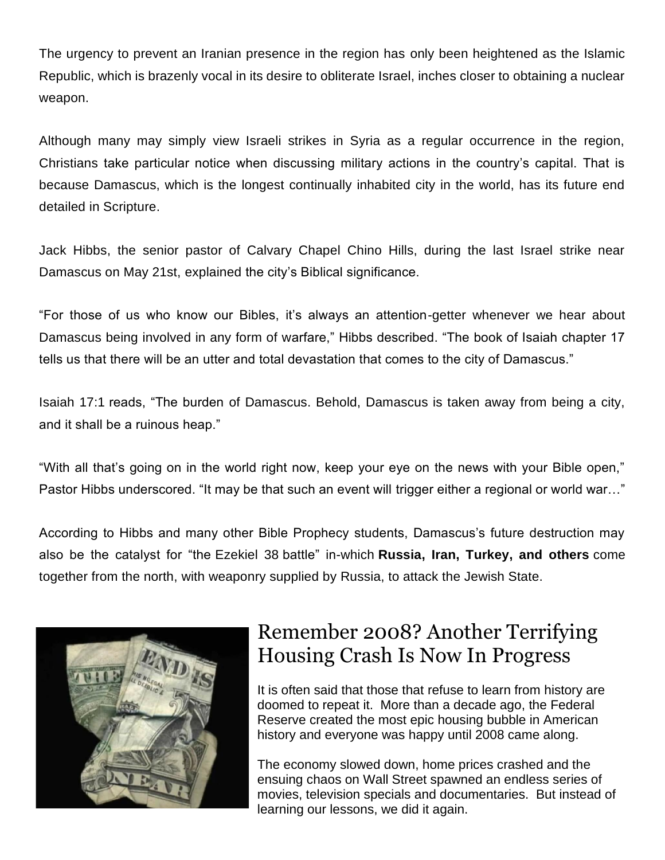The urgency to prevent an Iranian presence in the region has only been heightened as the Islamic Republic, which is brazenly vocal in its desire to obliterate Israel, inches closer to obtaining a nuclear weapon.

Although many may simply view Israeli strikes in Syria as a regular occurrence in the region, Christians take particular notice when discussing military actions in the country's capital. That is because Damascus, which is the longest continually inhabited city in the world, has its future end detailed in Scripture.

[Jack Hibbs,](https://harbingersdaily.com/author/jackhibbs/) the senior pastor of Calvary Chapel Chino Hills, during the last Israel strike near Damascus on May 21st, [explained](https://www.facebook.com/RealJackHibbs/posts/pfbid0242gENgwKqxPuusfuDCPGQ9o2n7bkce4jCK5ovgZVAo5nFKDDCpZF8LWcJ8dvY2HYl?__cft__%5b0%5d=AZVsiJnMrIjfCKgfRCTIvu3dTCsNfUuPlYczXTSEvyKDJ-N2rWzU5N7gwMXX9h-NGGULgj-2hEAniQBVu2M2C-1Hf4oYCxT8bblWycJl3XoBORBolckOUaVDnqSKQHqvHJ5nDox-YuQWcNpVpZiMarAj&__tn__=%2CO%2CP-y-R) the city's Biblical significance.

"For those of us who know our Bibles, it's always an attention-getter whenever we hear about Damascus being involved in any form of warfare," Hibbs described. "The book of Isaiah chapter 17 tells us that there will be an utter and total devastation that comes to the city of Damascus."

[Isaiah 17:1](https://biblia.com/bible/kjv1900/Isa%2017.1) reads, "The burden of Damascus. Behold, Damascus is taken away from being a city, and it shall be a ruinous heap."

"With all that's going on in the world right now, keep your eye on the news with your Bible open," Pastor Hibbs underscored. "It may be that such an event will trigger either a regional or world war…"

According to Hibbs and many other Bible Prophecy students, Damascus's future destruction may also be the catalyst for "the [Ezekiel 38](https://www.biblegateway.com/passage/?search=Ezekiel+38-39&version=KJV) battle" in-which **Russia, Iran, Turkey, and others** come together from the north, with weaponry supplied by Russia, to attack the Jewish State.



## Remember 2008? Another Terrifying Housing Crash Is Now In Progress

It is often said that those that refuse to learn from history are doomed to repeat it. More than a decade ago, the Federal Reserve created the most epic housing bubble in American history and everyone was happy until 2008 came along.

The economy slowed down, home prices crashed and the ensuing chaos on Wall Street spawned an endless series of movies, television specials and documentaries. But instead of learning our lessons, we did it again.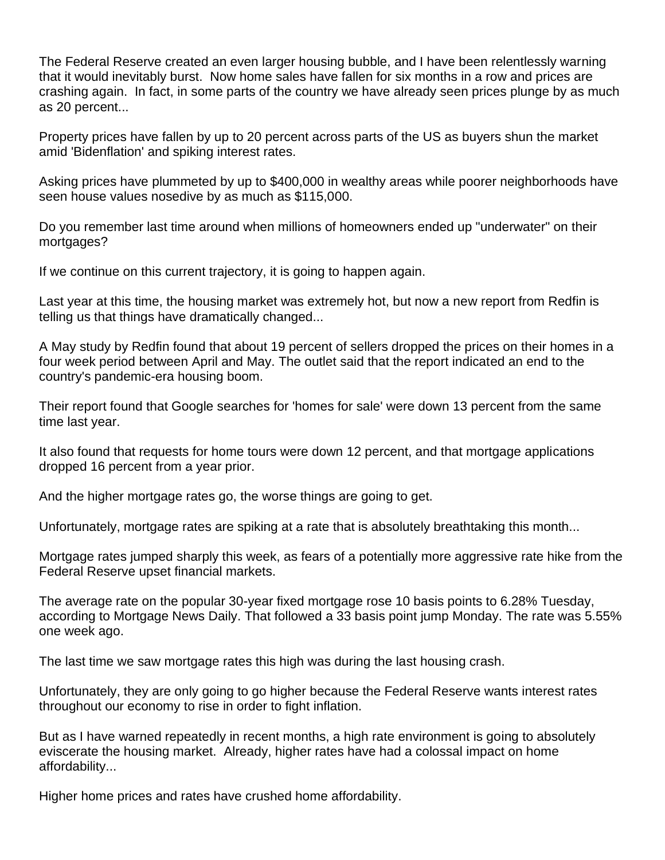The Federal Reserve created an even larger housing bubble, and I have been relentlessly warning that it would inevitably burst. Now home sales have fallen for six months in a row and prices are crashing again. In fact, in some parts of the country we have already seen prices plunge by as much as 20 percent...

Property prices have fallen by up to 20 percent across parts of the US as buyers shun the market amid 'Bidenflation' and spiking interest rates.

Asking prices have plummeted by up to \$400,000 in wealthy areas while poorer neighborhoods have seen house values nosedive by as much as \$115,000.

Do you remember last time around when millions of homeowners ended up "underwater" on their mortgages?

If we continue on this current trajectory, it is going to happen again.

Last year at this time, the housing market was extremely hot, but now a new report from Redfin is telling us that things have dramatically changed...

A May study by Redfin found that about 19 percent of sellers dropped the prices on their homes in a four week period between April and May. The outlet said that the report indicated an end to the country's pandemic-era housing boom.

Their report found that Google searches for 'homes for sale' were down 13 percent from the same time last year.

It also found that requests for home tours were down 12 percent, and that mortgage applications dropped 16 percent from a year prior.

And the higher mortgage rates go, the worse things are going to get.

Unfortunately, mortgage rates are spiking at a rate that is absolutely breathtaking this month...

Mortgage rates jumped sharply this week, as fears of a potentially more aggressive rate hike from the Federal Reserve upset financial markets.

The average rate on the popular 30-year fixed mortgage rose 10 basis points to 6.28% Tuesday, according to Mortgage News Daily. That followed a 33 basis point jump Monday. The rate was 5.55% one week ago.

The last time we saw mortgage rates this high was during the last housing crash.

Unfortunately, they are only going to go higher because the Federal Reserve wants interest rates throughout our economy to rise in order to fight inflation.

But as I have warned repeatedly in recent months, a high rate environment is going to absolutely eviscerate the housing market. Already, higher rates have had a colossal impact on home affordability...

Higher home prices and rates have crushed home affordability.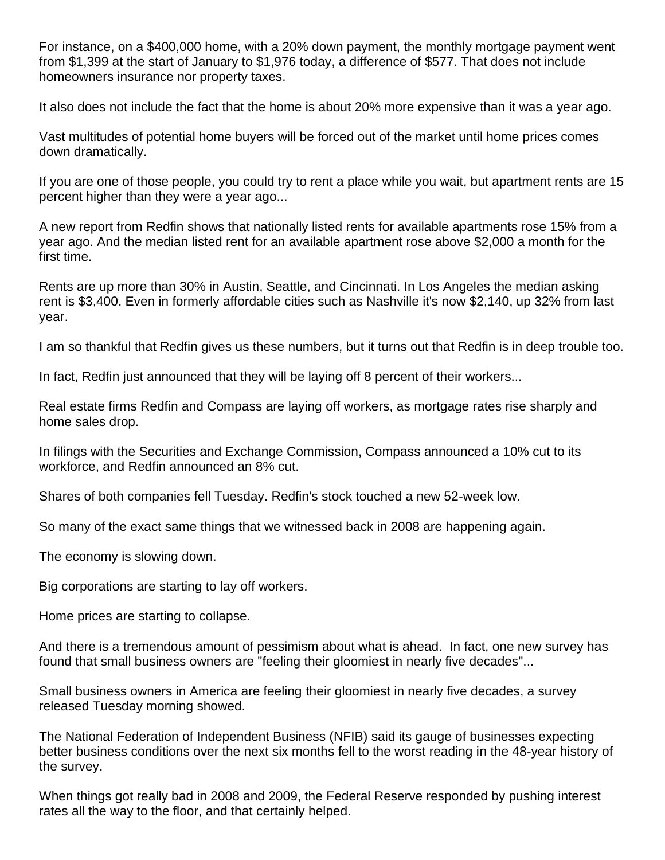For instance, on a \$400,000 home, with a 20% down payment, the monthly mortgage payment went from \$1,399 at the start of January to \$1,976 today, a difference of \$577. That does not include homeowners insurance nor property taxes.

It also does not include the fact that the home is about 20% more expensive than it was a year ago.

Vast multitudes of potential home buyers will be forced out of the market until home prices comes down dramatically.

If you are one of those people, you could try to rent a place while you wait, but apartment rents are 15 percent higher than they were a year ago...

A new report from Redfin shows that nationally listed rents for available apartments rose 15% from a year ago. And the median listed rent for an available apartment rose above \$2,000 a month for the first time.

Rents are up more than 30% in Austin, Seattle, and Cincinnati. In Los Angeles the median asking rent is \$3,400. Even in formerly affordable cities such as Nashville it's now \$2,140, up 32% from last year.

I am so thankful that Redfin gives us these numbers, but it turns out that Redfin is in deep trouble too.

In fact, Redfin just announced that they will be laying off 8 percent of their workers...

Real estate firms Redfin and Compass are laying off workers, as mortgage rates rise sharply and home sales drop.

In filings with the Securities and Exchange Commission, Compass announced a 10% cut to its workforce, and Redfin announced an 8% cut.

Shares of both companies fell Tuesday. Redfin's stock touched a new 52-week low.

So many of the exact same things that we witnessed back in 2008 are happening again.

The economy is slowing down.

Big corporations are starting to lay off workers.

Home prices are starting to collapse.

And there is a tremendous amount of pessimism about what is ahead. In fact, one new survey has found that small business owners are "feeling their gloomiest in nearly five decades"...

Small business owners in America are feeling their gloomiest in nearly five decades, a survey released Tuesday morning showed.

The National Federation of Independent Business (NFIB) said its gauge of businesses expecting better business conditions over the next six months fell to the worst reading in the 48-year history of the survey.

When things got really bad in 2008 and 2009, the Federal Reserve responded by pushing interest rates all the way to the floor, and that certainly helped.